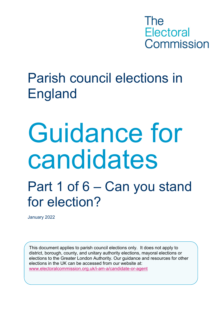

## Parish council elections in England

# Guidance for candidates

## Part 1 of 6 – Can you stand for election?

January 2022

This document applies to parish council elections only. It does not apply to district, borough, county, and unitary authority elections, mayoral elections or elections to the Greater London Authority. Our guidance and resources for other elections in the UK can be accessed from our website at: [www.electoralcommission.org.uk/i-am-a/candidate-or-agent](http://www.electoralcommission.org.uk/i-am-a/candidate-or-agent)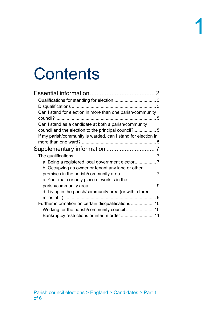# **Contents**

| Can I stand for election in more than one parish/community    |
|---------------------------------------------------------------|
|                                                               |
| Can I stand as a candidate at both a parish/community         |
| council and the election to the principal council?5           |
| If my parish/community is warded, can I stand for election in |
|                                                               |
| Supplementary information  7                                  |
|                                                               |
|                                                               |
| a. Being a registered local government elector 7              |
| b. Occupying as owner or tenant any land or other             |
|                                                               |
| c. Your main or only place of work is in the                  |
|                                                               |
| d. Living in the parish/community area (or within three       |
|                                                               |
| Further information on certain disqualifications 10           |
|                                                               |
|                                                               |
|                                                               |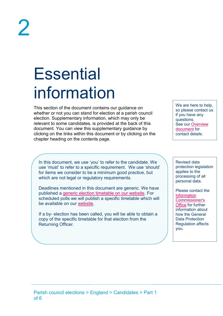## <span id="page-2-0"></span>**Essential** information

This section of the document contains our guidance on whether or not you can stand for election at a parish council election. Supplementary information, which may only be relevant to some candidates, is provided at the back of this document. You can view this supplementary guidance by clicking on the links within this document or by clicking on the chapter heading on the contents page.

We are here to help. so please contact us if you have any questions. See our [Overview](https://www.electoralcommission.org.uk/media/1950)  [document](https://www.electoralcommission.org.uk/media/1950) for contact details.

In this document, we use 'you' to refer to the candidate. We use 'must' to refer to a specific requirement. We use 'should' for items we consider to be a minimum good practice, but which are not legal or regulatory requirements.

Deadlines mentioned in this document are generic. We have published a [generic election timetable on our website.](https://www.electoralcommission.org.uk/media/322) For scheduled polls we will publish a specific timetable which will be available on our [website.](https://www.electoralcommission.org.uk/i-am-a/candidate-or-agent/parish-council-elections-england)

If a by- election has been called, you will be able to obtain a copy of the specific timetable for that election from the Returning Officer.

Revised data protection legislation applies to the processing of all personal data.

Please contact the **Information** [Commissioner's](https://ico.org.uk/for-organisations/guide-to-the-general-data-protection-regulation-gdpr/)  [Office](https://ico.org.uk/for-organisations/guide-to-the-general-data-protection-regulation-gdpr/) for further information about how the General Data Protection Regulation affects you.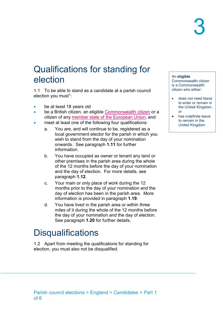### <span id="page-3-0"></span>Qualifications for standing for election

1.1 To be able to stand as a candidate at a parish council election you must [1](#page-12-0):

- be at least 18 years old
- be a British citizen, an eligible [Commonwealth citizen](https://www.electoralcommission.org.uk/media/1834) or a citizen of any [member state of the European Union,](https://www.electoralcommission.org.uk/media/5878) and
- meet at least one of the following four qualifications:
	- a. You are, and will continue to be, registered as a local government elector for the parish in which you wish to stand from the day of your nomination onwards. See paragraph **[1.11](#page-7-4)** for further information.
	- b. You have occupied as owner or tenant any land or other premises in the parish area during the whole of the 12 months before the day of your nomination and the day of election. For more details, see paragraph **[1.12](#page-7-5)**.
	- c. Your main or only place of work during the 12 months prior to the day of your nomination and the day of election has been in the parish area. More information is provided in paragraph **[1.19](#page-9-2)**.
	- d. You have lived in the parish area or within three miles of it during the whole of the 12 months before the day of your nomination and the day of election. See paragraph **[1.20](#page-9-3)** for further details.

## <span id="page-3-1"></span>**Disqualifications**

1.2 Apart from meeting the qualifications for standing for election, you must also not be disqualified.

#### An **eligible**

Commonwealth citizen is a Commonwealth citizen who either:

- does not need leave to enter or remain in the United Kingdom, or
- has indefinite leave to remain in the United Kingdom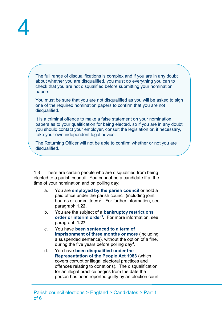The full range of disqualifications is complex and if you are in any doubt about whether you are disqualified, you must do everything you can to check that you are not disqualified before submitting your nomination papers.

You must be sure that you are not disqualified as you will be asked to sign one of the required nomination papers to confirm that you are not disqualified.

It is a criminal offence to make a false statement on your nomination papers as to your qualification for being elected, so if you are in any doubt you should contact your employer, consult the legislation or, if necessary, take your own independent legal advice.

The Returning Officer will not be able to confirm whether or not you are disqualified.

1.3 There are certain people who are disqualified from being elected to a parish council. You cannot be a candidate if at the time of your nomination and on polling day:

- a. You are **employed by the parish council** or hold a paid office under the parish council (including joint boards or committees)[2.](#page-12-1) For further information, see paragraph **[1.22](#page-10-2)**.
- b. You are the subject of a **bankruptcy restrictions order or interim order[3.](#page-12-2)** For more information, see paragraph **[1.27](#page-11-1)**
- c. You have **been sentenced to a term of imprisonment of three months or more** (including a suspended sentence), without the option of a fine, during the five years before polling day<sup>4</sup>.
- d. You have **been disqualified under the Representation of the People Act 1983** (which covers corrupt or illegal electoral practices and offences relating to donations). The disqualification for an illegal practice begins from the date the person has been reported guilty by an election court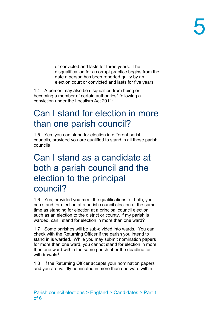or convicted and lasts for three years. The disqualification for a corrupt practice begins from the date a person has been reported guilty by an election court or convicted and lasts for five years<sup>5</sup>.

1.4 A person may also be disqualified from being or becoming a member of certain authorities<sup>[6](#page-12-5)</sup> following a conviction under the Localism Act 2011[7.](#page-12-6)

### <span id="page-5-0"></span>Can I stand for election in more than one parish council?

1.5 Yes, you can stand for election in different parish councils, provided you are qualified to stand in all those parish councils

### <span id="page-5-1"></span>Can I stand as a candidate at both a parish council and the election to the principal council?

1.6 Yes, provided you meet the qualifications for both, you can stand for election at a parish council election at the same time as standing for election at a principal council election, such as an election to the district or county. If my parish is warded, can I stand for election in more than one ward?

<span id="page-5-2"></span>1.7 Some parishes will be sub-divided into wards. You can check with the Returning Officer if the parish you intend to stand in is warded. While you may submit nomination papers for more than one ward, you cannot stand for election in more than one ward within the same parish after the deadline for withdrawals $8$ .

1.8 If the Returning Officer accepts your nomination papers and you are validly nominated in more than one ward within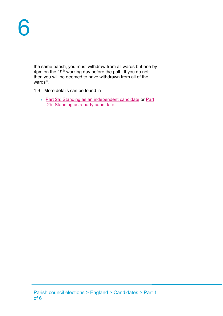the same parish, you must withdraw from all wards but one by 4pm on the 19<sup>th</sup> working day before the poll. If you do not, then you will be deemed to have withdrawn from all of the wards $9$ .

- 1.9 More details can be found in
	- [Part 2a: Standing as an independent candidate](https://www.electoralcommission.org.uk/media/2631) or Part [2b: Standing as a party candidate.](https://www.electoralcommission.org.uk/media/2652)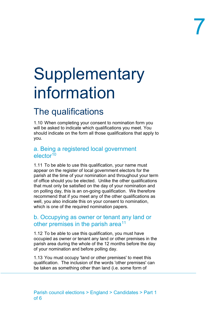# <span id="page-7-0"></span>**Supplementary** information

## <span id="page-7-1"></span>The qualifications

1.10 When completing your consent to nomination form you will be asked to indicate which qualifications you meet. You should indicate on the form all those qualifications that apply to you.

#### <span id="page-7-2"></span>a. Being a registered local government  $e$ lector<sup>10</sup>

<span id="page-7-4"></span>1.11 To be able to use this qualification, your name must appear on the register of local government electors for the parish at the time of your nomination and throughout your term of office should you be elected. Unlike the other qualifications that must only be satisfied on the day of your nomination and on polling day, this is an on-going qualification. We therefore recommend that if you meet any of the other qualifications as well, you also indicate this on your consent to nomination, which is one of the required nomination papers.

#### <span id="page-7-3"></span>b. Occupying as owner or tenant any land or other premises in the parish area<sup>[11](#page-12-10)</sup>

<span id="page-7-5"></span>1.12 To be able to use this qualification, you must have occupied as owner or tenant any land or other premises in the parish area during the whole of the 12 months before the day of your nomination and before polling day.

1.13 You must occupy 'land or other premises' to meet this qualification. The inclusion of the words 'other premises' can be taken as something other than land (i.e. some form of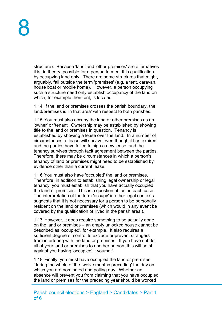structure). Because 'land' and 'other premises' are alternatives it is, in theory, possible for a person to meet this qualification by occupying land only. There are some structures that might, arguably, fall outside the term 'premises' (e.g. a tent, caravan, house boat or mobile home). However, a person occupying such a structure need only establish occupancy of the land on which, for example their tent, is located.

1.14 If the land or premises crosses the parish boundary, the land/premises is 'in that area' with respect to both parishes.

1.15 You must also occupy the land or other premises as an 'owner' or 'tenant'. Ownership may be established by showing title to the land or premises in question. Tenancy is established by showing a lease over the land. In a number of circumstances, a lease will survive even though it has expired and the parties have failed to sign a new lease, and the tenancy survives through tacit agreement between the parties. Therefore, there may be circumstances in which a person's tenancy of land or premises might need to be established by evidence other than a current lease.

1.16 You must also have 'occupied' the land or premises. Therefore, in addition to establishing legal ownership or legal tenancy, you must establish that you have actually occupied the land or premises. This is a question of fact in each case. The interpretation of the term 'occupy' in other legal contexts suggests that it is not necessary for a person to be personally resident on the land or premises (which would in any event be covered by the qualification of 'lived in the parish area').

1.17 However, it does require something to be actually done on the land or premises – an empty unlocked house cannot be described as 'occupied', for example. It also requires a sufficient degree of control to exclude or prevent strangers from interfering with the land or premises. If you have sub-let all of your land or premises to another person, this will point against you having 'occupied' it yourself.

1.18 Finally, you must have occupied the land or premises 'during the whole of the twelve months preceding' the day on which you are nominated and polling day. Whether an absence will prevent you from claiming that you have occupied the land or premises for the preceding year should be worked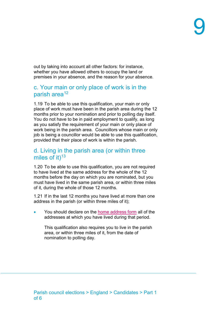out by taking into account all other factors: for instance, whether you have allowed others to occupy the land or premises in your absence, and the reason for your absence.

#### <span id="page-9-0"></span>c. Your main or only place of work is in the parish area<sup>[12](#page-12-11)</sup>

<span id="page-9-2"></span>1.19 To be able to use this qualification, your main or only place of work must have been in the parish area during the 12 months prior to your nomination and prior to polling day itself. You do not have to be in paid employment to qualify, as long as you satisfy the requirement of your main or only place of work being in the parish area. Councillors whose main or only job is being a councillor would be able to use this qualification, provided that their place of work is within the parish.

#### <span id="page-9-1"></span>d. Living in the parish area (or within three miles of it) $13$

<span id="page-9-3"></span>1.20 To be able to use this qualification, you are not required to have lived at the same address for the whole of the 12 months before the day on which you are nominated, but you must have lived in the same parish area, or within three miles of it, during the whole of those 12 months.

1.21 If in the last 12 months you have lived at more than one address in the parish (or within three miles of it);

You should declare on the [home address form](https://www.electoralcommission.org.uk/media/5016) all of the addresses at which you have lived during that period.

This qualification also requires you to live in the parish area, or within three miles of it, from the date of nomination to polling day.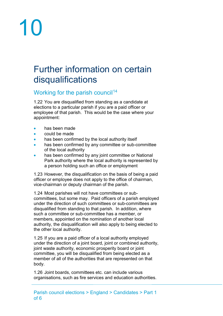# 10

### <span id="page-10-0"></span>Further information on certain disqualifications

#### <span id="page-10-1"></span>Working for the parish council<sup>[14](#page-12-13)</sup>

<span id="page-10-2"></span>1.22 You are disqualified from standing as a candidate at elections to a particular parish if you are a paid officer or employee of that parish. This would be the case where your appointment:

- has been made
- could be made
- has been confirmed by the local authority itself
- has been confirmed by any committee or sub-committee of the local authority
- has been confirmed by any joint committee or National Park authority where the local authority is represented by a person holding such an office or employment

1.23 However, the disqualification on the basis of being a paid officer or employee does not apply to the office of chairman, vice-chairman or deputy chairman of the parish.

1.24 Most parishes will not have committees or subcommittees, but some may. Paid officers of a parish employed under the direction of such committees or sub-committees are disqualified from standing to that parish. In addition, where such a committee or sub-committee has a member, or members, appointed on the nomination of another local authority, the disqualification will also apply to being elected to the other local authority.

1.25 If you are a paid officer of a local authority employed under the direction of a joint board, joint or combined authority, joint waste authority, economic prosperity board or joint committee, you will be disqualified from being elected as a member of all of the authorities that are represented on that body.

1.26 Joint boards, committees etc. can include various organisations, such as fire services and education authorities.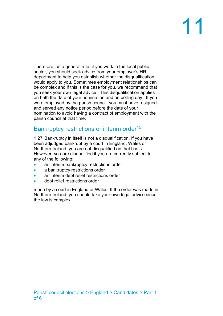# 11

Therefore, as a general rule, if you work in the local public sector, you should seek advice from your employer's HR department to help you establish whether the disqualification would apply to you. Sometimes employment relationships can be complex and if this is the case for you, we recommend that you seek your own legal advice. This disqualification applies on both the date of your nomination and on polling day. If you were employed by the parish council, you must have resigned and served any notice period before the date of your nomination to avoid having a contract of employment with the parish council at that time.

#### <span id="page-11-0"></span>Bankruptcy restrictions or interim order<sup>[15](#page-12-14)</sup>

<span id="page-11-1"></span>1.27 Bankruptcy in itself is not a disqualification. If you have been adjudged bankrupt by a court in England, Wales or Northern Ireland, you are not disqualified on that basis. However, you are disqualified if you are currently subject to any of the following:

- an interim bankruptcy restrictions order
- a bankruptcy restrictions order
- an interim debt relief restrictions order
- debt relief restrictions order

made by a court in England or Wales. If the order was made in Northern Ireland, you should take your own legal advice since the law is complex.